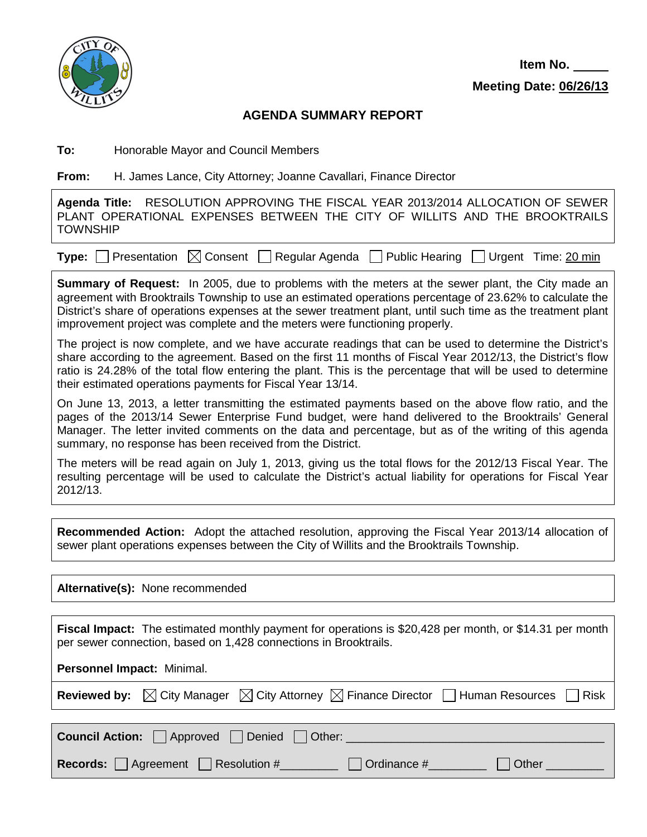

## **AGENDA SUMMARY REPORT**

**To:** Honorable Mayor and Council Members

**From:** H. James Lance, City Attorney; Joanne Cavallari, Finance Director

**Agenda Title:** RESOLUTION APPROVING THE FISCAL YEAR 2013/2014 ALLOCATION OF SEWER PLANT OPERATIONAL EXPENSES BETWEEN THE CITY OF WILLITS AND THE BROOKTRAILS **TOWNSHIP** 

**Type:**  $\Box$  Presentation  $\Box$  Consent  $\Box$  Regular Agenda  $\Box$  Public Hearing  $\Box$  Urgent Time: 20 min

**Summary of Request:** In 2005, due to problems with the meters at the sewer plant, the City made an agreement with Brooktrails Township to use an estimated operations percentage of 23.62% to calculate the District's share of operations expenses at the sewer treatment plant, until such time as the treatment plant improvement project was complete and the meters were functioning properly.

The project is now complete, and we have accurate readings that can be used to determine the District's share according to the agreement. Based on the first 11 months of Fiscal Year 2012/13, the District's flow ratio is 24.28% of the total flow entering the plant. This is the percentage that will be used to determine their estimated operations payments for Fiscal Year 13/14.

On June 13, 2013, a letter transmitting the estimated payments based on the above flow ratio, and the pages of the 2013/14 Sewer Enterprise Fund budget, were hand delivered to the Brooktrails' General Manager. The letter invited comments on the data and percentage, but as of the writing of this agenda summary, no response has been received from the District.

The meters will be read again on July 1, 2013, giving us the total flows for the 2012/13 Fiscal Year. The resulting percentage will be used to calculate the District's actual liability for operations for Fiscal Year 2012/13.

**Recommended Action:** Adopt the attached resolution, approving the Fiscal Year 2013/14 allocation of sewer plant operations expenses between the City of Willits and the Brooktrails Township.

**Alternative(s):** None recommended **Fiscal Impact:** The estimated monthly payment for operations is \$20,428 per month, or \$14.31 per month per sewer connection, based on 1,428 connections in Brooktrails. **Personnel Impact:** Minimal. **Reviewed by:**  $\boxtimes$  City Manager  $\boxtimes$  City Attorney  $\boxtimes$  Finance Director  $\Box$  Human Resources  $\Box$  Risk **Council Action:** Approved Denied Other: **Records:** Agreement Resolution #\_\_\_\_\_\_\_ Ordinance #\_\_\_\_\_\_ Other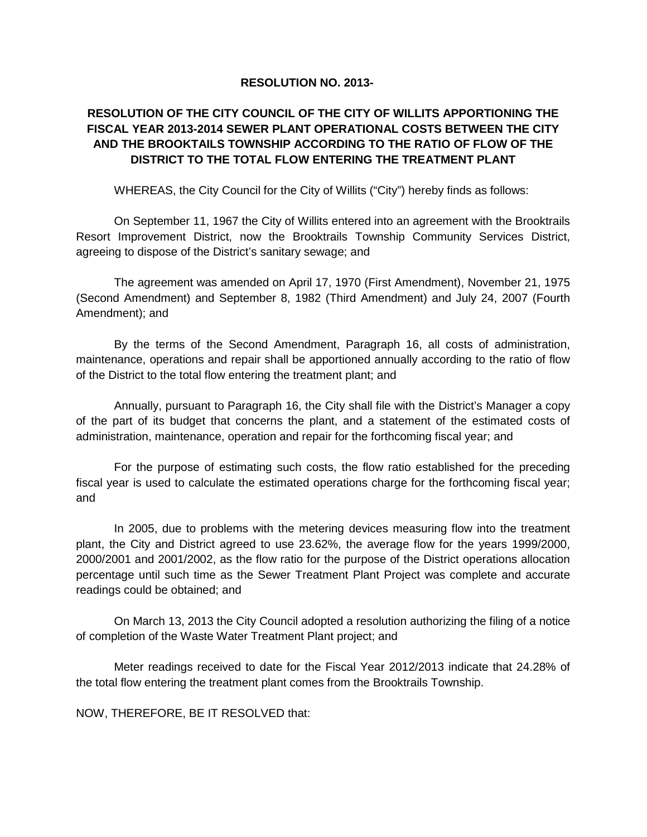## **RESOLUTION NO. 2013-**

## **RESOLUTION OF THE CITY COUNCIL OF THE CITY OF WILLITS APPORTIONING THE FISCAL YEAR 2013-2014 SEWER PLANT OPERATIONAL COSTS BETWEEN THE CITY AND THE BROOKTAILS TOWNSHIP ACCORDING TO THE RATIO OF FLOW OF THE DISTRICT TO THE TOTAL FLOW ENTERING THE TREATMENT PLANT**

WHEREAS, the City Council for the City of Willits ("City") hereby finds as follows:

On September 11, 1967 the City of Willits entered into an agreement with the Brooktrails Resort Improvement District, now the Brooktrails Township Community Services District, agreeing to dispose of the District's sanitary sewage; and

The agreement was amended on April 17, 1970 (First Amendment), November 21, 1975 (Second Amendment) and September 8, 1982 (Third Amendment) and July 24, 2007 (Fourth Amendment); and

By the terms of the Second Amendment, Paragraph 16, all costs of administration, maintenance, operations and repair shall be apportioned annually according to the ratio of flow of the District to the total flow entering the treatment plant; and

Annually, pursuant to Paragraph 16, the City shall file with the District's Manager a copy of the part of its budget that concerns the plant, and a statement of the estimated costs of administration, maintenance, operation and repair for the forthcoming fiscal year; and

For the purpose of estimating such costs, the flow ratio established for the preceding fiscal year is used to calculate the estimated operations charge for the forthcoming fiscal year; and

In 2005, due to problems with the metering devices measuring flow into the treatment plant, the City and District agreed to use 23.62%, the average flow for the years 1999/2000, 2000/2001 and 2001/2002, as the flow ratio for the purpose of the District operations allocation percentage until such time as the Sewer Treatment Plant Project was complete and accurate readings could be obtained; and

On March 13, 2013 the City Council adopted a resolution authorizing the filing of a notice of completion of the Waste Water Treatment Plant project; and

Meter readings received to date for the Fiscal Year 2012/2013 indicate that 24.28% of the total flow entering the treatment plant comes from the Brooktrails Township.

NOW, THEREFORE, BE IT RESOLVED that: